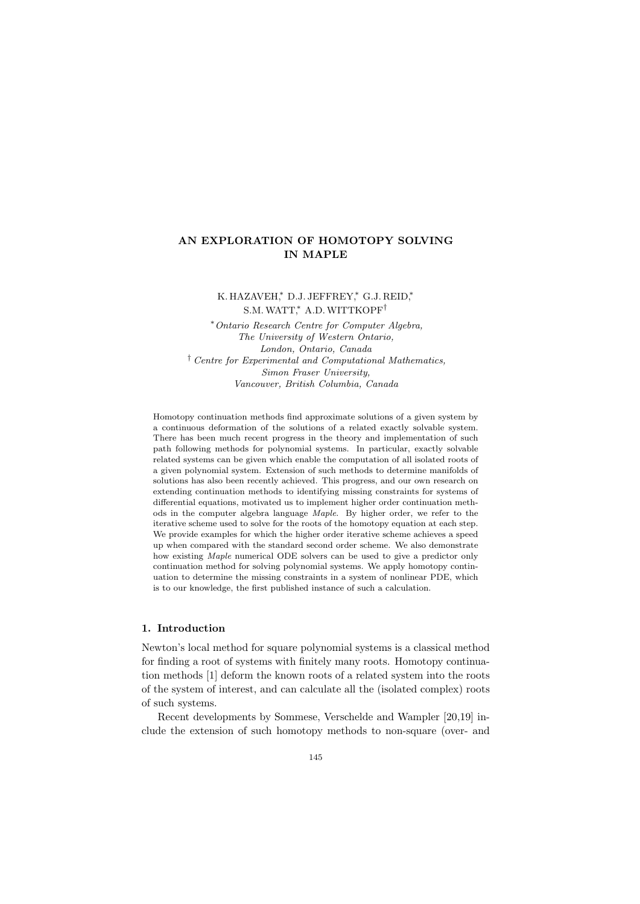# AN EXPLORATION OF HOMOTOPY SOLVING IN MAPLE

K. HAZAVEH,\* D.J. JEFFREY,\* G.J. REID,\* S.M. WATT,\* A.D. WITTKOPF<sup>†</sup>

<sup>∗</sup>Ontario Research Centre for Computer Algebra, The University of Western Ontario, London, Ontario, Canada † Centre for Experimental and Computational Mathematics, Simon Fraser University, Vancouver, British Columbia, Canada

Homotopy continuation methods find approximate solutions of a given system by a continuous deformation of the solutions of a related exactly solvable system. There has been much recent progress in the theory and implementation of such path following methods for polynomial systems. In particular, exactly solvable related systems can be given which enable the computation of all isolated roots of a given polynomial system. Extension of such methods to determine manifolds of solutions has also been recently achieved. This progress, and our own research on extending continuation methods to identifying missing constraints for systems of differential equations, motivated us to implement higher order continuation methods in the computer algebra language Maple. By higher order, we refer to the iterative scheme used to solve for the roots of the homotopy equation at each step. We provide examples for which the higher order iterative scheme achieves a speed up when compared with the standard second order scheme. We also demonstrate how existing Maple numerical ODE solvers can be used to give a predictor only continuation method for solving polynomial systems. We apply homotopy continuation to determine the missing constraints in a system of nonlinear PDE, which is to our knowledge, the first published instance of such a calculation.

# 1. Introduction

Newton's local method for square polynomial systems is a classical method for finding a root of systems with finitely many roots. Homotopy continuation methods [1] deform the known roots of a related system into the roots of the system of interest, and can calculate all the (isolated complex) roots of such systems.

Recent developments by Sommese, Verschelde and Wampler [20,19] include the extension of such homotopy methods to non-square (over- and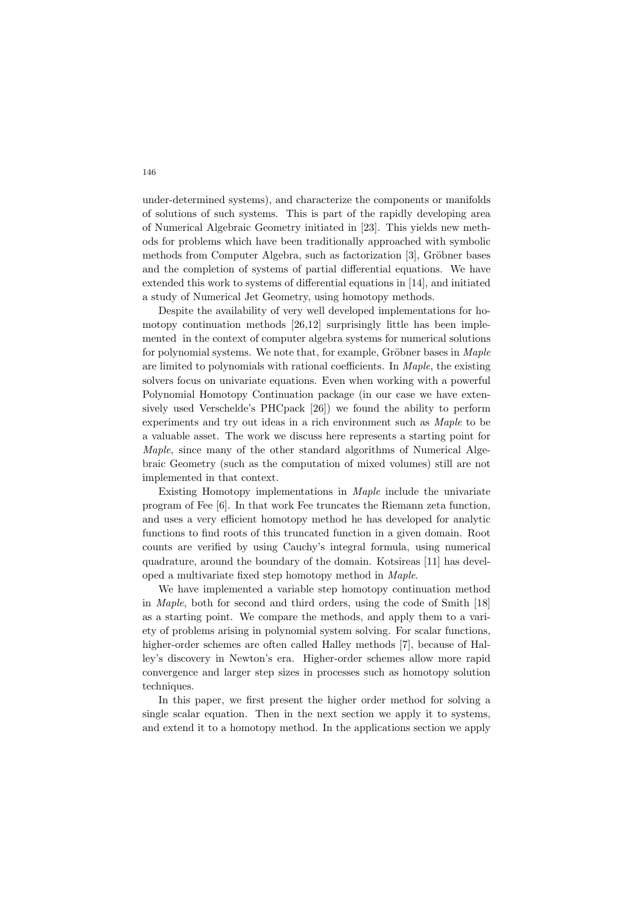under-determined systems), and characterize the components or manifolds of solutions of such systems. This is part of the rapidly developing area of Numerical Algebraic Geometry initiated in [23]. This yields new methods for problems which have been traditionally approached with symbolic methods from Computer Algebra, such as factorization [3], Gröbner bases and the completion of systems of partial differential equations. We have extended this work to systems of differential equations in [14], and initiated a study of Numerical Jet Geometry, using homotopy methods.

Despite the availability of very well developed implementations for homotopy continuation methods [26,12] surprisingly little has been implemented in the context of computer algebra systems for numerical solutions for polynomial systems. We note that, for example, Gröbner bases in  $Maple$ are limited to polynomials with rational coefficients. In Maple, the existing solvers focus on univariate equations. Even when working with a powerful Polynomial Homotopy Continuation package (in our case we have extensively used Verschelde's PHCpack [26]) we found the ability to perform experiments and try out ideas in a rich environment such as Maple to be a valuable asset. The work we discuss here represents a starting point for Maple, since many of the other standard algorithms of Numerical Algebraic Geometry (such as the computation of mixed volumes) still are not implemented in that context.

Existing Homotopy implementations in Maple include the univariate program of Fee [6]. In that work Fee truncates the Riemann zeta function, and uses a very efficient homotopy method he has developed for analytic functions to find roots of this truncated function in a given domain. Root counts are verified by using Cauchy's integral formula, using numerical quadrature, around the boundary of the domain. Kotsireas [11] has developed a multivariate fixed step homotopy method in Maple.

We have implemented a variable step homotopy continuation method in Maple, both for second and third orders, using the code of Smith [18] as a starting point. We compare the methods, and apply them to a variety of problems arising in polynomial system solving. For scalar functions, higher-order schemes are often called Halley methods [7], because of Halley's discovery in Newton's era. Higher-order schemes allow more rapid convergence and larger step sizes in processes such as homotopy solution techniques.

In this paper, we first present the higher order method for solving a single scalar equation. Then in the next section we apply it to systems, and extend it to a homotopy method. In the applications section we apply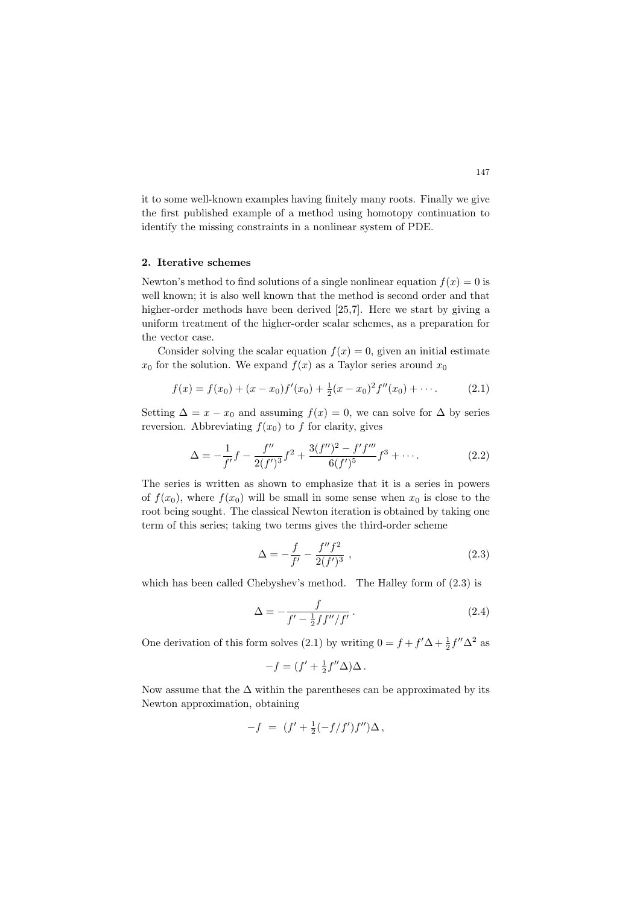it to some well-known examples having finitely many roots. Finally we give the first published example of a method using homotopy continuation to identify the missing constraints in a nonlinear system of PDE.

## 2. Iterative schemes

Newton's method to find solutions of a single nonlinear equation  $f(x) = 0$  is well known; it is also well known that the method is second order and that higher-order methods have been derived [25,7]. Here we start by giving a uniform treatment of the higher-order scalar schemes, as a preparation for the vector case.

Consider solving the scalar equation  $f(x) = 0$ , given an initial estimate  $x_0$  for the solution. We expand  $f(x)$  as a Taylor series around  $x_0$ 

$$
f(x) = f(x_0) + (x - x_0)f'(x_0) + \frac{1}{2}(x - x_0)^2 f''(x_0) + \cdots
$$
 (2.1)

Setting  $\Delta = x - x_0$  and assuming  $f(x) = 0$ , we can solve for  $\Delta$  by series reversion. Abbreviating  $f(x_0)$  to f for clarity, gives

$$
\Delta = -\frac{1}{f'}f - \frac{f''}{2(f')^3}f^2 + \frac{3(f'')^2 - f'f'''}{6(f')^5}f^3 + \cdots
$$
 (2.2)

The series is written as shown to emphasize that it is a series in powers of  $f(x_0)$ , where  $f(x_0)$  will be small in some sense when  $x_0$  is close to the root being sought. The classical Newton iteration is obtained by taking one term of this series; taking two terms gives the third-order scheme

$$
\Delta = -\frac{f}{f'} - \frac{f''f^2}{2(f')^3} \,,\tag{2.3}
$$

which has been called Chebyshev's method. The Halley form of  $(2.3)$  is

$$
\Delta = -\frac{f}{f' - \frac{1}{2}ff''/f'}.
$$
\n(2.4)

One derivation of this form solves (2.1) by writing  $0 = f + f' \Delta + \frac{1}{2} f'' \Delta^2$  as

$$
-f = (f' + \frac{1}{2}f''\Delta)\Delta.
$$

Now assume that the  $\Delta$  within the parentheses can be approximated by its Newton approximation, obtaining

$$
-f \ = \ (f' + \frac{1}{2}(-f/f')f'') \Delta \, ,
$$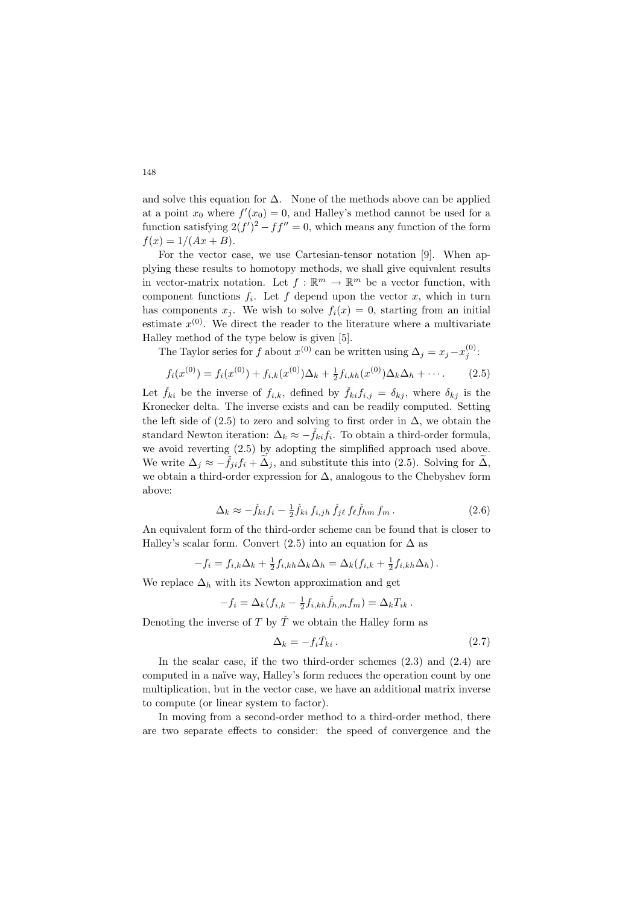and solve this equation for  $\Delta$ . None of the methods above can be applied at a point  $x_0$  where  $f'(x_0) = 0$ , and Halley's method cannot be used for a function satisfying  $2(f')^2 - ff'' = 0$ , which means any function of the form  $f(x) = 1/(Ax + B).$ 

For the vector case, we use Cartesian-tensor notation [9]. When applying these results to homotopy methods, we shall give equivalent results in vector-matrix notation. Let  $f : \mathbb{R}^m \to \mathbb{R}^m$  be a vector function, with component functions  $f_i$ . Let f depend upon the vector x, which in turn has components  $x_j$ . We wish to solve  $f_i(x) = 0$ , starting from an initial estimate  $x^{(0)}$ . We direct the reader to the literature where a multivariate Halley method of the type below is given [5].

The Taylor series for f about  $x^{(0)}$  can be written using  $\Delta_j = x_j - x_j^{(0)}$ .

$$
f_i(x^{(0)}) = f_i(x^{(0)}) + f_{i,k}(x^{(0)})\Delta_k + \frac{1}{2}f_{i,kh}(x^{(0)})\Delta_k\Delta_h + \cdots.
$$
 (2.5)

Let  $\check{f}_{ki}$  be the inverse of  $f_{i,k}$ , defined by  $\check{f}_{ki}f_{i,j} = \delta_{kj}$ , where  $\delta_{kj}$  is the Kronecker delta. The inverse exists and can be readily computed. Setting the left side of (2.5) to zero and solving to first order in  $\Delta$ , we obtain the standard Newton iteration:  $\Delta_k \approx -\tilde{f}_{ki} f_i$ . To obtain a third-order formula, we avoid reverting (2.5) by adopting the simplified approach used above. We write  $\Delta_i \approx -\check{f}_{ii}f_i + \tilde{\Delta}_i$ , and substitute this into (2.5). Solving for  $\tilde{\Delta}$ , we obtain a third-order expression for ∆, analogous to the Chebyshev form above:

$$
\Delta_k \approx -\check{f}_{ki}f_i - \frac{1}{2}\check{f}_{ki}f_{i,jh}\,\check{f}_{j\ell}\,f_{\ell}\check{f}_{hm}\,f_m\,.
$$
\n(2.6)

An equivalent form of the third-order scheme can be found that is closer to Halley's scalar form. Convert (2.5) into an equation for  $\Delta$  as

$$
-f_i = f_{i,k}\Delta_k + \frac{1}{2}f_{i,kh}\Delta_k\Delta_h = \Delta_k(f_{i,k} + \frac{1}{2}f_{i,kh}\Delta_h).
$$

We replace  $\Delta_h$  with its Newton approximation and get

$$
-f_i = \Delta_k (f_{i,k} - \frac{1}{2} f_{i,kh} \check{f}_{h,m} f_m) = \Delta_k T_{ik}.
$$

Denoting the inverse of T by  $\check{T}$  we obtain the Halley form as

$$
\Delta_k = -f_i \check{T}_{ki} \,. \tag{2.7}
$$

In the scalar case, if the two third-order schemes  $(2.3)$  and  $(2.4)$  are computed in a naïve way, Halley's form reduces the operation count by one multiplication, but in the vector case, we have an additional matrix inverse to compute (or linear system to factor).

In moving from a second-order method to a third-order method, there are two separate effects to consider: the speed of convergence and the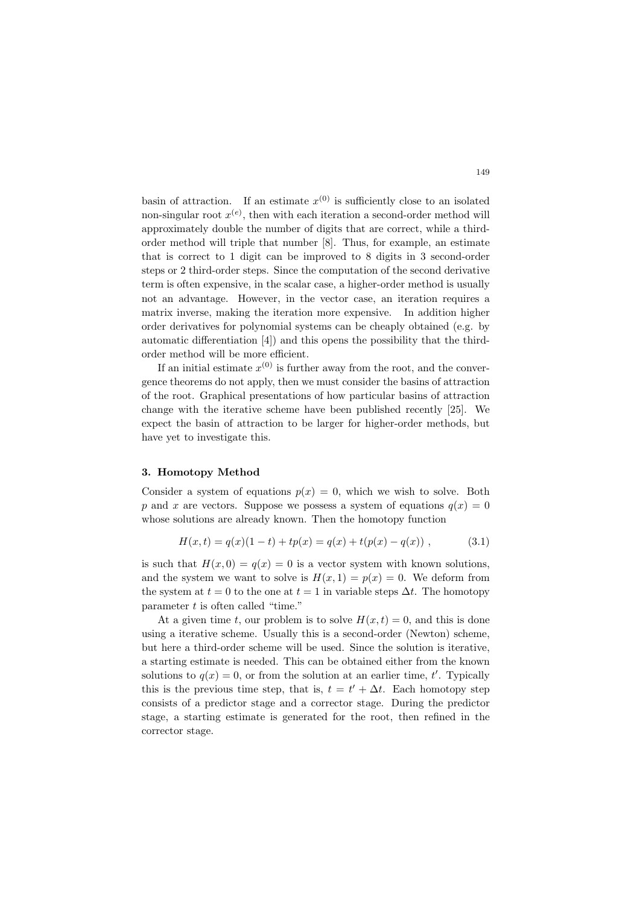basin of attraction. If an estimate  $x^{(0)}$  is sufficiently close to an isolated non-singular root  $x^{(e)}$ , then with each iteration a second-order method will approximately double the number of digits that are correct, while a thirdorder method will triple that number [8]. Thus, for example, an estimate that is correct to 1 digit can be improved to 8 digits in 3 second-order steps or 2 third-order steps. Since the computation of the second derivative term is often expensive, in the scalar case, a higher-order method is usually not an advantage. However, in the vector case, an iteration requires a matrix inverse, making the iteration more expensive. In addition higher order derivatives for polynomial systems can be cheaply obtained (e.g. by automatic differentiation [4]) and this opens the possibility that the thirdorder method will be more efficient.

If an initial estimate  $x^{(0)}$  is further away from the root, and the convergence theorems do not apply, then we must consider the basins of attraction of the root. Graphical presentations of how particular basins of attraction change with the iterative scheme have been published recently [25]. We expect the basin of attraction to be larger for higher-order methods, but have yet to investigate this.

#### 3. Homotopy Method

Consider a system of equations  $p(x) = 0$ , which we wish to solve. Both p and x are vectors. Suppose we possess a system of equations  $q(x) = 0$ whose solutions are already known. Then the homotopy function

$$
H(x,t) = q(x)(1-t) + tp(x) = q(x) + t(p(x) - q(x)),
$$
\n(3.1)

is such that  $H(x, 0) = q(x) = 0$  is a vector system with known solutions, and the system we want to solve is  $H(x, 1) = p(x) = 0$ . We deform from the system at  $t = 0$  to the one at  $t = 1$  in variable steps  $\Delta t$ . The homotopy parameter  $t$  is often called "time."

At a given time t, our problem is to solve  $H(x,t) = 0$ , and this is done using a iterative scheme. Usually this is a second-order (Newton) scheme, but here a third-order scheme will be used. Since the solution is iterative, a starting estimate is needed. This can be obtained either from the known solutions to  $q(x) = 0$ , or from the solution at an earlier time, t'. Typically this is the previous time step, that is,  $t = t' + \Delta t$ . Each homotopy step consists of a predictor stage and a corrector stage. During the predictor stage, a starting estimate is generated for the root, then refined in the corrector stage.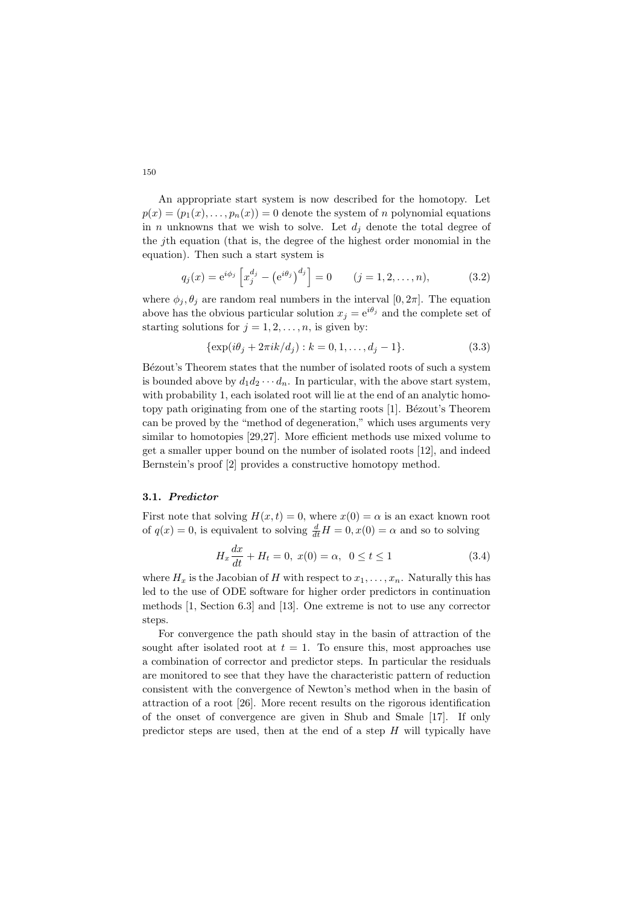An appropriate start system is now described for the homotopy. Let  $p(x) = (p_1(x), \ldots, p_n(x)) = 0$  denote the system of n polynomial equations in *n* unknowns that we wish to solve. Let  $d_i$  denote the total degree of the jth equation (that is, the degree of the highest order monomial in the equation). Then such a start system is

$$
q_j(x) = e^{i\phi_j} \left[ x_j^{d_j} - (e^{i\theta_j})^{d_j} \right] = 0 \qquad (j = 1, 2, ..., n),
$$
 (3.2)

where  $\phi_i, \theta_i$  are random real numbers in the interval  $[0, 2\pi]$ . The equation above has the obvious particular solution  $x_i = e^{i\theta_j}$  and the complete set of starting solutions for  $j = 1, 2, \ldots, n$ , is given by:

$$
\{\exp(i\theta_j + 2\pi i k/d_j) : k = 0, 1, \dots, d_j - 1\}.
$$
\n(3.3)

Bézout's Theorem states that the number of isolated roots of such a system is bounded above by  $d_1 d_2 \cdots d_n$ . In particular, with the above start system, with probability 1, each isolated root will lie at the end of an analytic homotopy path originating from one of the starting roots [1]. Bézout's Theorem can be proved by the "method of degeneration," which uses arguments very similar to homotopies [29,27]. More efficient methods use mixed volume to get a smaller upper bound on the number of isolated roots [12], and indeed Bernstein's proof [2] provides a constructive homotopy method.

### 3.1. Predictor

First note that solving  $H(x, t) = 0$ , where  $x(0) = \alpha$  is an exact known root of  $q(x) = 0$ , is equivalent to solving  $\frac{d}{dt}H = 0, x(0) = \alpha$  and so to solving

$$
H_x \frac{dx}{dt} + H_t = 0, \ x(0) = \alpha, \ 0 \le t \le 1 \tag{3.4}
$$

where  $H_x$  is the Jacobian of H with respect to  $x_1, \ldots, x_n$ . Naturally this has led to the use of ODE software for higher order predictors in continuation methods [1, Section 6.3] and [13]. One extreme is not to use any corrector steps.

For convergence the path should stay in the basin of attraction of the sought after isolated root at  $t = 1$ . To ensure this, most approaches use a combination of corrector and predictor steps. In particular the residuals are monitored to see that they have the characteristic pattern of reduction consistent with the convergence of Newton's method when in the basin of attraction of a root [26]. More recent results on the rigorous identification of the onset of convergence are given in Shub and Smale [17]. If only predictor steps are used, then at the end of a step  $H$  will typically have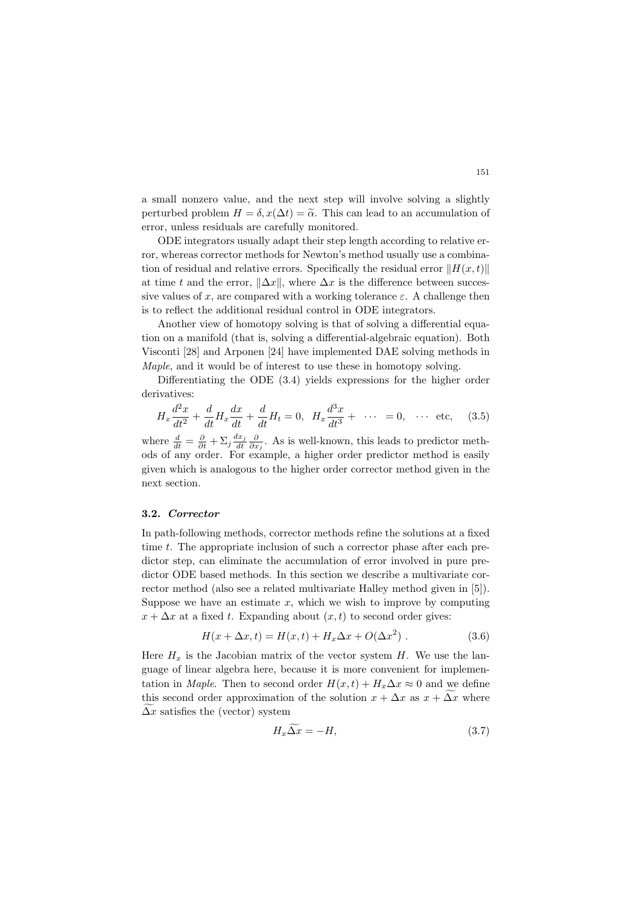a small nonzero value, and the next step will involve solving a slightly perturbed problem  $H = \delta$ ,  $x(\Delta t) = \tilde{\alpha}$ . This can lead to an accumulation of error, unless residuals are carefully monitored.

ODE integrators usually adapt their step length according to relative error, whereas corrector methods for Newton's method usually use a combination of residual and relative errors. Specifically the residual error  $||H(x, t)||$ at time t and the error,  $\|\Delta x\|$ , where  $\Delta x$  is the difference between successive values of x, are compared with a working tolerance  $\varepsilon$ . A challenge then is to reflect the additional residual control in ODE integrators.

Another view of homotopy solving is that of solving a differential equation on a manifold (that is, solving a differential-algebraic equation). Both Visconti [28] and Arponen [24] have implemented DAE solving methods in Maple, and it would be of interest to use these in homotopy solving.

Differentiating the ODE (3.4) yields expressions for the higher order derivatives:

$$
H_x \frac{d^2x}{dt^2} + \frac{d}{dt} H_x \frac{dx}{dt} + \frac{d}{dt} H_t = 0, \quad H_x \frac{d^3x}{dt^3} + \cdots = 0, \quad \cdots \text{ etc,} \tag{3.5}
$$

where  $\frac{d}{dt} = \frac{\partial}{\partial t} + \sum_j \frac{dx_j}{dt} \frac{\partial}{\partial x_j}$ . As is well-known, this leads to predictor methods of any order. For example, a higher order predictor method is easily given which is analogous to the higher order corrector method given in the next section.

### 3.2. Corrector

In path-following methods, corrector methods refine the solutions at a fixed time t. The appropriate inclusion of such a corrector phase after each predictor step, can eliminate the accumulation of error involved in pure predictor ODE based methods. In this section we describe a multivariate corrector method (also see a related multivariate Halley method given in [5]). Suppose we have an estimate  $x$ , which we wish to improve by computing  $x + \Delta x$  at a fixed t. Expanding about  $(x, t)$  to second order gives:

$$
H(x + \Delta x, t) = H(x, t) + H_x \Delta x + O(\Delta x^2) . \qquad (3.6)
$$

Here  $H_x$  is the Jacobian matrix of the vector system H. We use the language of linear algebra here, because it is more convenient for implementation in Maple. Then to second order  $H(x,t) + H_x \Delta x \approx 0$  and we define this second order approximation of the solution  $x + \Delta x$  as  $x + \Delta x$  where  $\Delta x$  satisfies the (vector) system

$$
H_x \Delta x = -H,\tag{3.7}
$$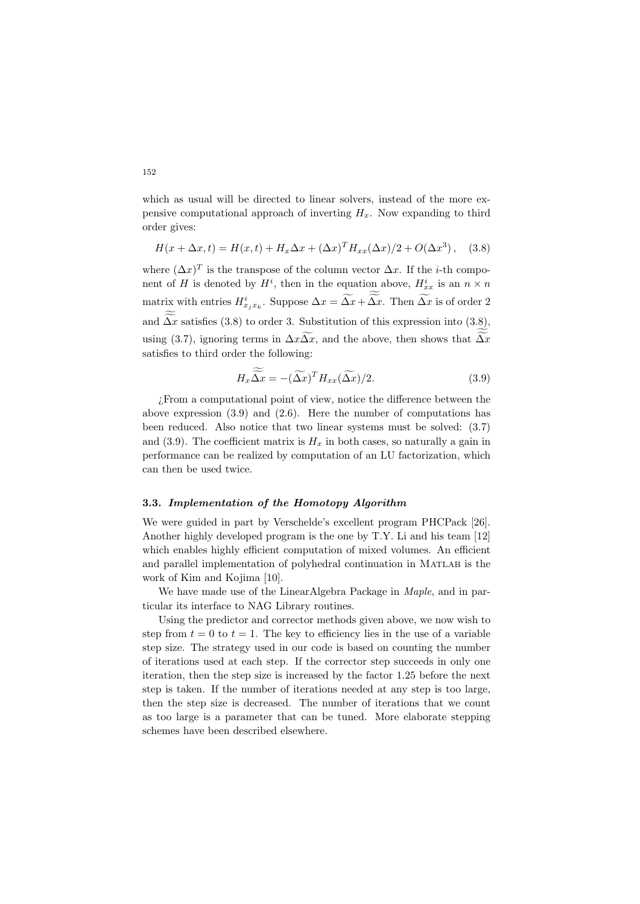which as usual will be directed to linear solvers, instead of the more expensive computational approach of inverting  $H_x$ . Now expanding to third order gives:

$$
H(x + \Delta x, t) = H(x, t) + H_x \Delta x + (\Delta x)^T H_{xx} (\Delta x) / 2 + O(\Delta x^3), \quad (3.8)
$$

where  $(\Delta x)^T$  is the transpose of the column vector  $\Delta x$ . If the *i*-th component of H is denoted by  $H^i$ , then in the equation above,  $H^i_{xx}$  is an  $n \times n$ matrix with entries  $H_{x_jx_k}^i$ . Suppose  $\Delta x = \overline{\Delta x} + \overline{\Delta x}$ . Then  $\overline{\Delta x}$  is of order 2 and  $\Delta x$  satisfies (3.8) to order 3. Substitution of this expression into (3.8), using (3.7), ignoring terms in  $\Delta x \Delta x$ , and the above, then shows that  $\Delta x$ satisfies to third order the following:

$$
H_x \widetilde{\Delta x} = -(\widetilde{\Delta x})^T H_{xx} (\widetilde{\Delta x})/2.
$$
 (3.9)

¿From a computational point of view, notice the difference between the above expression (3.9) and (2.6). Here the number of computations has been reduced. Also notice that two linear systems must be solved: (3.7) and (3.9). The coefficient matrix is  $H<sub>x</sub>$  in both cases, so naturally a gain in performance can be realized by computation of an LU factorization, which can then be used twice.

### 3.3. Implementation of the Homotopy Algorithm

We were guided in part by Verschelde's excellent program PHCPack [26]. Another highly developed program is the one by T.Y. Li and his team [12] which enables highly efficient computation of mixed volumes. An efficient and parallel implementation of polyhedral continuation in Matlab is the work of Kim and Kojima [10].

We have made use of the LinearAlgebra Package in Maple, and in particular its interface to NAG Library routines.

Using the predictor and corrector methods given above, we now wish to step from  $t = 0$  to  $t = 1$ . The key to efficiency lies in the use of a variable step size. The strategy used in our code is based on counting the number of iterations used at each step. If the corrector step succeeds in only one iteration, then the step size is increased by the factor 1.25 before the next step is taken. If the number of iterations needed at any step is too large, then the step size is decreased. The number of iterations that we count as too large is a parameter that can be tuned. More elaborate stepping schemes have been described elsewhere.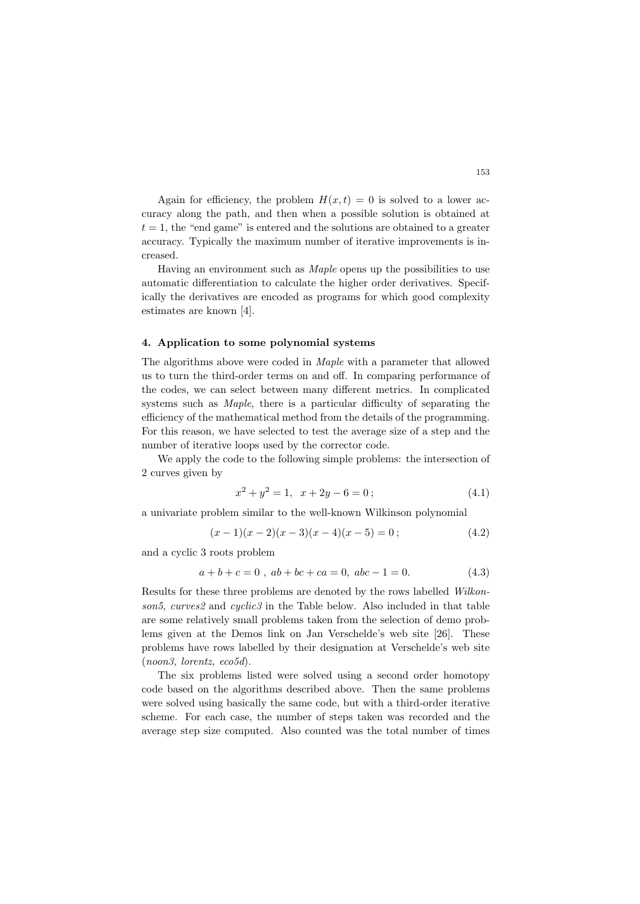Again for efficiency, the problem  $H(x,t) = 0$  is solved to a lower accuracy along the path, and then when a possible solution is obtained at  $t = 1$ , the "end game" is entered and the solutions are obtained to a greater accuracy. Typically the maximum number of iterative improvements is increased.

Having an environment such as Maple opens up the possibilities to use automatic differentiation to calculate the higher order derivatives. Specifically the derivatives are encoded as programs for which good complexity estimates are known [4].

#### 4. Application to some polynomial systems

The algorithms above were coded in Maple with a parameter that allowed us to turn the third-order terms on and off. In comparing performance of the codes, we can select between many different metrics. In complicated systems such as Maple, there is a particular difficulty of separating the efficiency of the mathematical method from the details of the programming. For this reason, we have selected to test the average size of a step and the number of iterative loops used by the corrector code.

We apply the code to the following simple problems: the intersection of 2 curves given by

$$
x^2 + y^2 = 1, \quad x + 2y - 6 = 0 \tag{4.1}
$$

a univariate problem similar to the well-known Wilkinson polynomial

$$
(x-1)(x-2)(x-3)(x-4)(x-5) = 0;
$$
\n(4.2)

and a cyclic 3 roots problem

$$
a+b+c=0, \ ab+bc+ca=0, \ abc-1=0. \tag{4.3}
$$

Results for these three problems are denoted by the rows labelled Wilkonson5, curves2 and cyclic3 in the Table below. Also included in that table are some relatively small problems taken from the selection of demo problems given at the Demos link on Jan Verschelde's web site [26]. These problems have rows labelled by their designation at Verschelde's web site  $(noon3, lorentz, eco5d).$ 

The six problems listed were solved using a second order homotopy code based on the algorithms described above. Then the same problems were solved using basically the same code, but with a third-order iterative scheme. For each case, the number of steps taken was recorded and the average step size computed. Also counted was the total number of times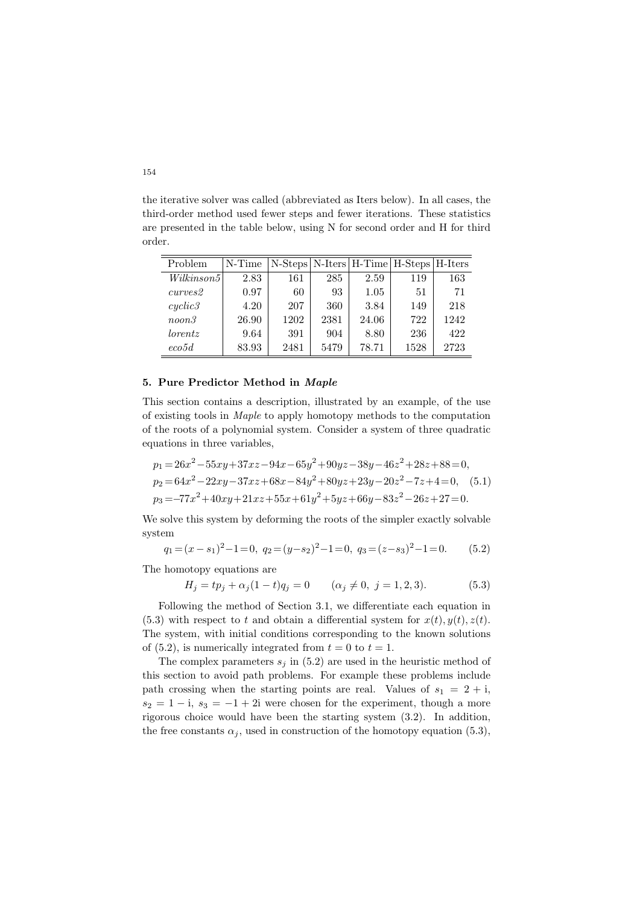the iterative solver was called (abbreviated as Iters below). In all cases, the third-order method used fewer steps and fewer iterations. These statistics are presented in the table below, using N for second order and H for third order.

| Problem    | N-Time | N-Steps   N-Iters   H-Time   H-Steps   H-Iters |      |       |      |      |
|------------|--------|------------------------------------------------|------|-------|------|------|
| Wilkinson5 | 2.83   | 161                                            | 285  | 2.59  | 119  | 163  |
| curves 2   | 0.97   | 60                                             | 93   | 1.05  | 51   | 71   |
| cyclic3    | 4.20   | 207                                            | 360  | 3.84  | 149  | 218  |
| noon3      | 26.90  | 1202                                           | 2381 | 24.06 | 722  | 1242 |
| lorentz    | 9.64   | 391                                            | 904  | 8.80  | 236  | 422  |
| eco5d      | 83.93  | 2481                                           | 5479 | 78.71 | 1528 | 2723 |

## 5. Pure Predictor Method in Maple

This section contains a description, illustrated by an example, of the use of existing tools in Maple to apply homotopy methods to the computation of the roots of a polynomial system. Consider a system of three quadratic equations in three variables,

$$
p_1 = 26x^2 - 55xy + 37xz - 94x - 65y^2 + 90yz - 38y - 46z^2 + 28z + 88 = 0,
$$
  
\n
$$
p_2 = 64x^2 - 22xy - 37xz + 68x - 84y^2 + 80yz + 23y - 20z^2 - 7z + 4 = 0,
$$
  
\n
$$
p_3 = -77x^2 + 40xy + 21xz + 55x + 61y^2 + 5yz + 66y - 83z^2 - 26z + 27 = 0.
$$
  
\n(5.1)

We solve this system by deforming the roots of the simpler exactly solvable system

$$
q_1 = (x - s_1)^2 - 1 = 0
$$
,  $q_2 = (y - s_2)^2 - 1 = 0$ ,  $q_3 = (z - s_3)^2 - 1 = 0$ . (5.2)

The homotopy equations are

$$
H_j = tp_j + \alpha_j(1-t)q_j = 0 \qquad (\alpha_j \neq 0, \ j = 1, 2, 3). \tag{5.3}
$$

Following the method of Section 3.1, we differentiate each equation in (5.3) with respect to t and obtain a differential system for  $x(t)$ ,  $y(t)$ ,  $z(t)$ . The system, with initial conditions corresponding to the known solutions of (5.2), is numerically integrated from  $t = 0$  to  $t = 1$ .

The complex parameters  $s_i$  in (5.2) are used in the heuristic method of this section to avoid path problems. For example these problems include path crossing when the starting points are real. Values of  $s_1 = 2 + i$ ,  $s_2 = 1 - i$ ,  $s_3 = -1 + 2i$  were chosen for the experiment, though a more rigorous choice would have been the starting system (3.2). In addition, the free constants  $\alpha_i$ , used in construction of the homotopy equation (5.3),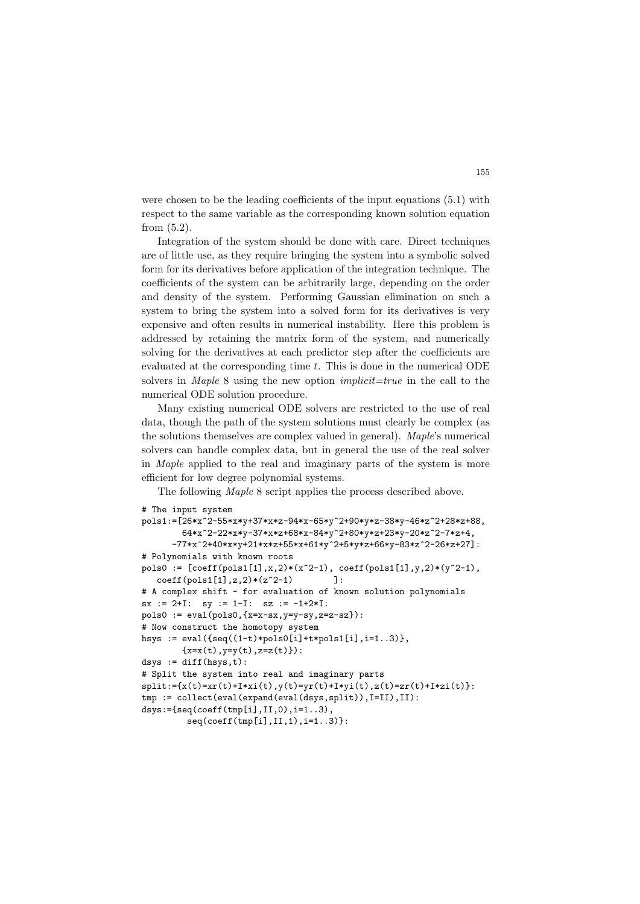were chosen to be the leading coefficients of the input equations (5.1) with respect to the same variable as the corresponding known solution equation from (5.2).

Integration of the system should be done with care. Direct techniques are of little use, as they require bringing the system into a symbolic solved form for its derivatives before application of the integration technique. The coefficients of the system can be arbitrarily large, depending on the order and density of the system. Performing Gaussian elimination on such a system to bring the system into a solved form for its derivatives is very expensive and often results in numerical instability. Here this problem is addressed by retaining the matrix form of the system, and numerically solving for the derivatives at each predictor step after the coefficients are evaluated at the corresponding time  $t$ . This is done in the numerical ODE solvers in *Maple* 8 using the new option *implicit=true* in the call to the numerical ODE solution procedure.

Many existing numerical ODE solvers are restricted to the use of real data, though the path of the system solutions must clearly be complex (as the solutions themselves are complex valued in general). Maple's numerical solvers can handle complex data, but in general the use of the real solver in Maple applied to the real and imaginary parts of the system is more efficient for low degree polynomial systems.

The following Maple 8 script applies the process described above.

```
# The input system
pols1:=[26*x^2-55*x*y+37*x*z-94*x-65*y^2+90*y*z-38*y-46*z^2+28*z+88,
        64*x^2-22*x*y-37*x*z+68*x-84*y^2+80*y*z+23*y-20*z^2-7*z+4,
     -77*x^2+40*x*y+21*x*z+55*x+61*y^2+5*y*z+66*y-83*z^2-26*z+27]:
# Polynomials with known roots
pols0 := [coeff(pols1[1], x, 2)*(x^2-1), coeff(pols1[1], y, 2)*(y^2-1),coeff(pols1[1],z,2)*(z^2-1) ]:
# A complex shift - for evaluation of known solution polynomials
sx := 2+I: sy := 1-I: sz := -1+2*I:pols0 := eval(pols0, {x=x-sx, y=y-sy, z=z-sz}):
# Now construct the homotopy system
hsys := eval({seq((1-t)*pols0[i]+t*pols1[i], i=1..3)},{x=x(t), y=y(t), z=z(t)}:
dsys := diff(hsys,t):
# Split the system into real and imaginary parts
split:=[x(t)=x(r(t)+1*xi(t),y(t)=y(r(t)+1*yi(t),z(t)=zr(t)+1*zi(t)].tmp := collect(eval(expand(eval(dsys,split)), I=II), II):
dsys:={seq(coeff(tmp[i],II,0),i=1..3),
         seq(coeff(tmp[i],II,1),i=1..3)}:
```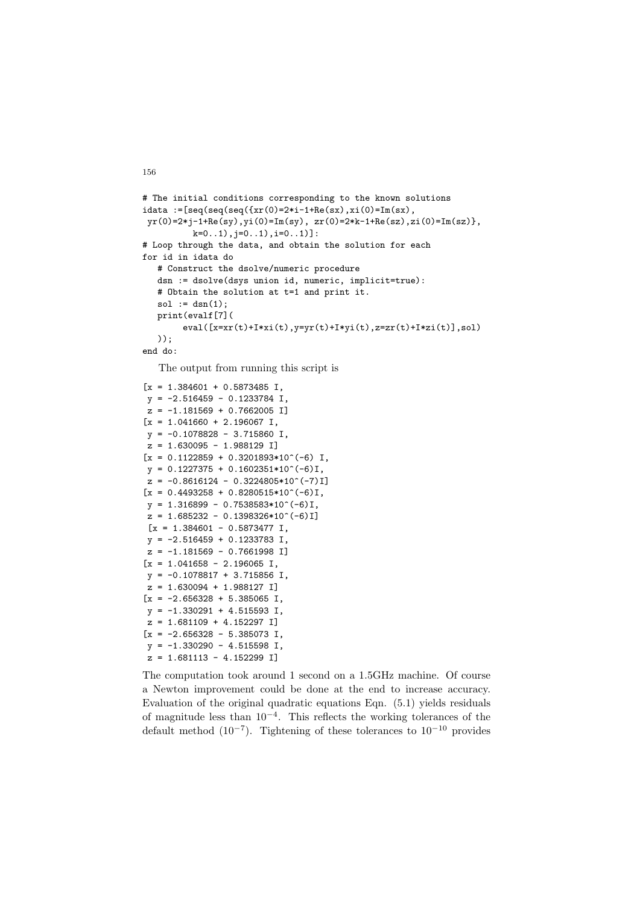```
# The initial conditions corresponding to the known solutions
idata := [seq(seq(seq({xr(0)=2* i-1+Re(sx), xi(0)=Im(sx))yr(0)=2*j-1+Re(sy),yi(0)=Im(sy), zr(0)=2*k-1+Re(sz),zi(0)=Im(sz)},
          k=0..1), j=0..1), i=0..1)]:
# Loop through the data, and obtain the solution for each
for id in idata do
  # Construct the dsolve/numeric procedure
  dsn := dsolve(dsys union id, numeric, implicit=true):
  # Obtain the solution at t=1 and print it.
  sol := dsn(1);print(evalf[7](
       eval([x=xr(t)+I*xi(t),y=yr(t)+I*yi(t),z=zr(t)+I*zi(t)],sol)
  ));
end do:
```
The output from running this script is

```
[x = 1.384601 + 0.5873485]y = -2.516459 - 0.1233784 I,
z = -1.181569 + 0.7662005 I]
\lceil x \rceil = 1.041660 + 2.196067 I,
y = -0.1078828 - 3.715860 I,
z = 1.630095 - 1.988129 I]
[x = 0.1122859 + 0.3201893*10^(-6) ],
y = 0.1227375 + 0.1602351*10^(-6)I,
z = -0.8616124 - 0.3224805*10^(-7)1[x = 0.4493258 + 0.8280515*10^(-6)I,
y = 1.316899 - 0.7538583*10^(-6)I,
z = 1.685232 - 0.1398326*10^(-6)I]
[x = 1.384601 - 0.5873477]y = -2.516459 + 0.1233783 I,
z = -1.181569 - 0.7661998 I]
[x = 1.041658 - 2.196065]y = -0.1078817 + 3.715856 I,
z = 1.630094 + 1.988127 I]
[x = -2.656328 + 5.385065],
y = -1.330291 + 4.515593 I,
z = 1.681109 + 4.152297 I]
[x = -2.656328 - 5.385073],
y = -1.330290 - 4.515598 I,
z = 1.681113 - 4.152299 I]
```
The computation took around 1 second on a 1.5GHz machine. Of course a Newton improvement could be done at the end to increase accuracy. Evaluation of the original quadratic equations Eqn. (5.1) yields residuals of magnitude less than 10<sup>−</sup><sup>4</sup> . This reflects the working tolerances of the default method  $(10^{-7})$ . Tightening of these tolerances to  $10^{-10}$  provides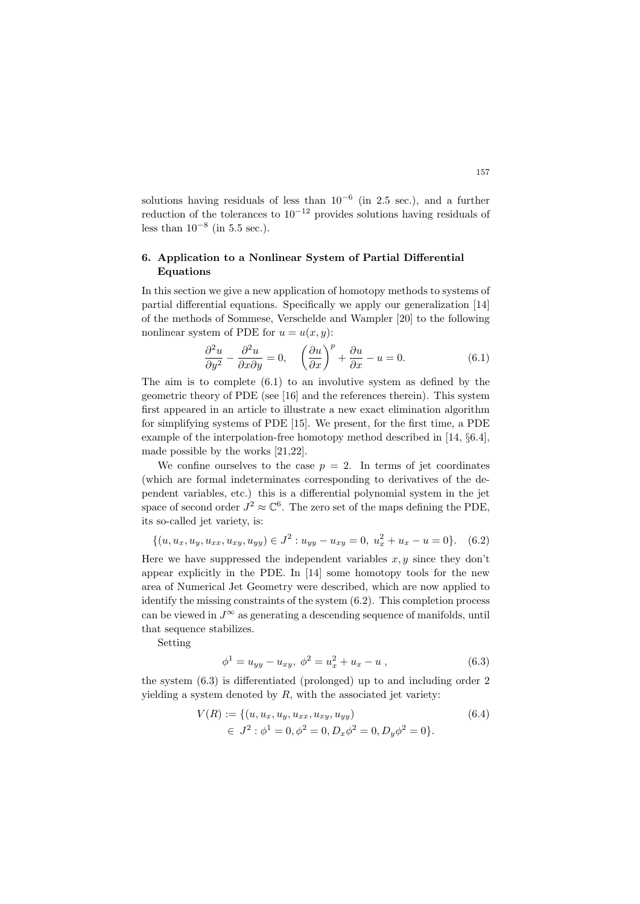solutions having residuals of less than 10<sup>−</sup><sup>6</sup> (in 2.5 sec.), and a further reduction of the tolerances to  $10^{-12}$  provides solutions having residuals of less than  $10^{-8}$  (in 5.5 sec.).

# 6. Application to a Nonlinear System of Partial Differential Equations

In this section we give a new application of homotopy methods to systems of partial differential equations. Specifically we apply our generalization [14] of the methods of Sommese, Verschelde and Wampler [20] to the following nonlinear system of PDE for  $u = u(x, y)$ :

$$
\frac{\partial^2 u}{\partial y^2} - \frac{\partial^2 u}{\partial x \partial y} = 0, \quad \left(\frac{\partial u}{\partial x}\right)^p + \frac{\partial u}{\partial x} - u = 0.
$$
 (6.1)

The aim is to complete (6.1) to an involutive system as defined by the geometric theory of PDE (see [16] and the references therein). This system first appeared in an article to illustrate a new exact elimination algorithm for simplifying systems of PDE [15]. We present, for the first time, a PDE example of the interpolation-free homotopy method described in [14, §6.4], made possible by the works [21,22].

We confine ourselves to the case  $p = 2$ . In terms of jet coordinates (which are formal indeterminates corresponding to derivatives of the dependent variables, etc.) this is a differential polynomial system in the jet space of second order  $J^2 \approx \mathbb{C}^6$ . The zero set of the maps defining the PDE, its so-called jet variety, is:

$$
\{(u, u_x, u_y, u_{xx}, u_{xy}, u_{yy}) \in J^2 : u_{yy} - u_{xy} = 0, u_x^2 + u_x - u = 0\}.
$$
 (6.2)

Here we have suppressed the independent variables  $x, y$  since they don't appear explicitly in the PDE. In [14] some homotopy tools for the new area of Numerical Jet Geometry were described, which are now applied to identify the missing constraints of the system (6.2). This completion process can be viewed in  $J^{\infty}$  as generating a descending sequence of manifolds, until that sequence stabilizes.

Setting

$$
\phi^1 = u_{yy} - u_{xy}, \ \phi^2 = u_x^2 + u_x - u \ , \tag{6.3}
$$

the system (6.3) is differentiated (prolonged) up to and including order 2 yielding a system denoted by  $R$ , with the associated jet variety:

$$
V(R) := \{ (u, u_x, u_y, u_{xx}, u_{xy}, u_{yy}) \in J^2 : \phi^1 = 0, \phi^2 = 0, D_x \phi^2 = 0, D_y \phi^2 = 0 \}.
$$
\n(6.4)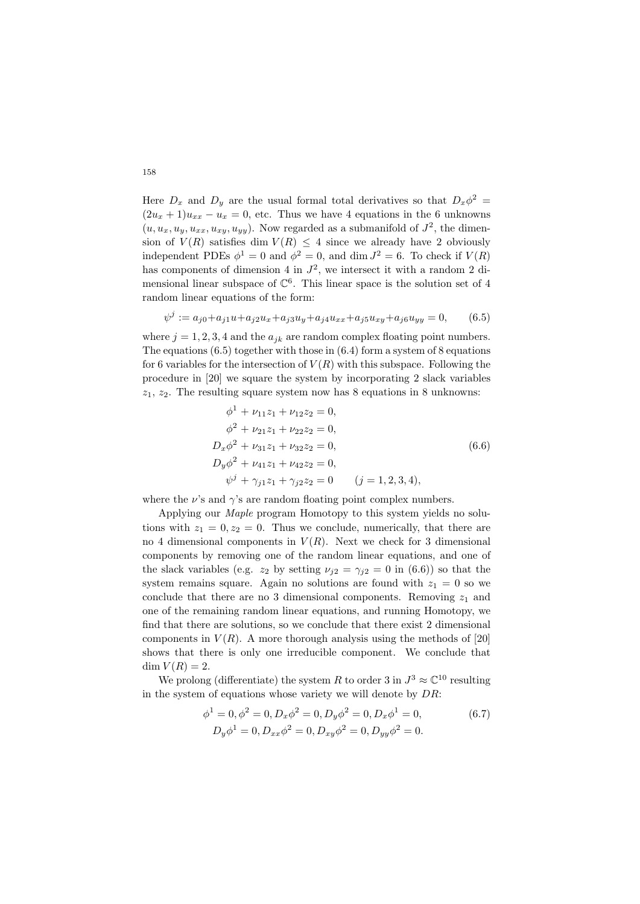Here  $D_x$  and  $D_y$  are the usual formal total derivatives so that  $D_x\phi^2 =$  $(2u<sub>x</sub>+1)u<sub>xx</sub>-u<sub>x</sub>=0$ , etc. Thus we have 4 equations in the 6 unknowns  $(u, u_x, u_y, u_{xx}, u_{xy}, u_{yy})$ . Now regarded as a submanifold of  $J^2$ , the dimension of  $V(R)$  satisfies dim  $V(R) \leq 4$  since we already have 2 obviously independent PDEs  $\phi^1 = 0$  and  $\phi^2 = 0$ , and dim  $J^2 = 6$ . To check if  $V(R)$ has components of dimension 4 in  $J^2$ , we intersect it with a random 2 dimensional linear subspace of  $\mathbb{C}^6$ . This linear space is the solution set of 4 random linear equations of the form:

$$
\psi^{j} := a_{j0} + a_{j1}u + a_{j2}u_{x} + a_{j3}u_{y} + a_{j4}u_{xx} + a_{j5}u_{xy} + a_{j6}u_{yy} = 0, \qquad (6.5)
$$

where  $j = 1, 2, 3, 4$  and the  $a_{ik}$  are random complex floating point numbers. The equations  $(6.5)$  together with those in  $(6.4)$  form a system of 8 equations for 6 variables for the intersection of  $V(R)$  with this subspace. Following the procedure in [20] we square the system by incorporating 2 slack variables  $z_1, z_2$ . The resulting square system now has 8 equations in 8 unknowns:

$$
\phi^{1} + \nu_{11}z_{1} + \nu_{12}z_{2} = 0,
$$
  
\n
$$
\phi^{2} + \nu_{21}z_{1} + \nu_{22}z_{2} = 0,
$$
  
\n
$$
D_{x}\phi^{2} + \nu_{31}z_{1} + \nu_{32}z_{2} = 0,
$$
  
\n
$$
D_{y}\phi^{2} + \nu_{41}z_{1} + \nu_{42}z_{2} = 0,
$$
  
\n
$$
\psi^{j} + \gamma_{j1}z_{1} + \gamma_{j2}z_{2} = 0 \qquad (j = 1, 2, 3, 4),
$$
\n(6.6)

where the  $\nu$ 's and  $\gamma$ 's are random floating point complex numbers.

Applying our Maple program Homotopy to this system yields no solutions with  $z_1 = 0, z_2 = 0$ . Thus we conclude, numerically, that there are no 4 dimensional components in  $V(R)$ . Next we check for 3 dimensional components by removing one of the random linear equations, and one of the slack variables (e.g.  $z_2$  by setting  $\nu_{i2} = \gamma_{i2} = 0$  in (6.6)) so that the system remains square. Again no solutions are found with  $z_1 = 0$  so we conclude that there are no 3 dimensional components. Removing  $z_1$  and one of the remaining random linear equations, and running Homotopy, we find that there are solutions, so we conclude that there exist 2 dimensional components in  $V(R)$ . A more thorough analysis using the methods of [20] shows that there is only one irreducible component. We conclude that  $\dim V(R) = 2.$ 

We prolong (differentiate) the system R to order 3 in  $J^3 \approx \mathbb{C}^{10}$  resulting in the system of equations whose variety we will denote by  $DR$ :

$$
\phi^1 = 0, \phi^2 = 0, D_x \phi^2 = 0, D_y \phi^2 = 0, D_x \phi^1 = 0,
$$
  
\n
$$
D_y \phi^1 = 0, D_{xx} \phi^2 = 0, D_{xy} \phi^2 = 0, D_{yy} \phi^2 = 0.
$$
\n(6.7)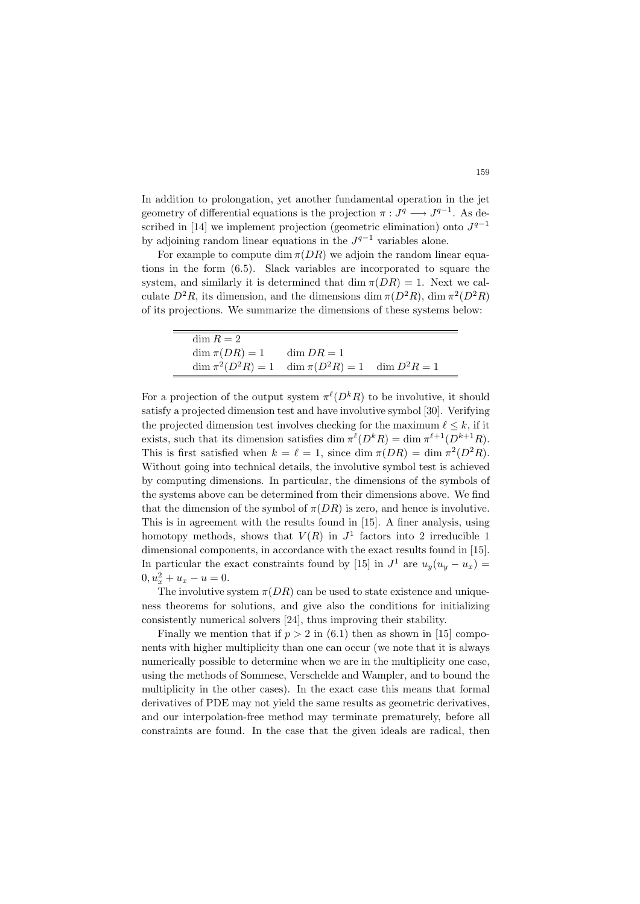In addition to prolongation, yet another fundamental operation in the jet geometry of differential equations is the projection  $\pi : J^q \longrightarrow J^{q-1}$ . As described in [14] we implement projection (geometric elimination) onto  $J^{q-1}$ by adjoining random linear equations in the  $J^{q-1}$  variables alone.

For example to compute dim  $\pi(DR)$  we adjoin the random linear equations in the form (6.5). Slack variables are incorporated to square the system, and similarly it is determined that dim  $\pi(DR) = 1$ . Next we calculate  $D^2R$ , its dimension, and the dimensions dim  $\pi(D^2R)$ , dim  $\pi^2(D^2R)$ of its projections. We summarize the dimensions of these systems below:

| $\dim R = 2$                                                |  |
|-------------------------------------------------------------|--|
| $\dim \pi(DR) = 1$ $\dim DR = 1$                            |  |
| $\dim \pi^2(D^2R) = 1$ $\dim \pi(D^2R) = 1$ $\dim D^2R = 1$ |  |

 $\equiv$ 

For a projection of the output system  $\pi^{\ell}(D^{k}R)$  to be involutive, it should satisfy a projected dimension test and have involutive symbol [30]. Verifying the projected dimension test involves checking for the maximum  $\ell \leq k$ , if it exists, such that its dimension satisfies dim  $\pi^{\ell}(D^{k}R) = \dim \pi^{\ell+1}(D^{k+1}R)$ . This is first satisfied when  $k = \ell = 1$ , since dim  $\pi(DR) = \dim \pi^2(D^2R)$ . Without going into technical details, the involutive symbol test is achieved by computing dimensions. In particular, the dimensions of the symbols of the systems above can be determined from their dimensions above. We find that the dimension of the symbol of  $\pi(DR)$  is zero, and hence is involutive. This is in agreement with the results found in [15]. A finer analysis, using homotopy methods, shows that  $V(R)$  in  $J<sup>1</sup>$  factors into 2 irreducible 1 dimensional components, in accordance with the exact results found in [15]. In particular the exact constraints found by [15] in  $J^1$  are  $u_y(u_y - u_x) =$  $0, u_x^2 + u_x - u = 0.$ 

The involutive system  $\pi(DR)$  can be used to state existence and uniqueness theorems for solutions, and give also the conditions for initializing consistently numerical solvers [24], thus improving their stability.

Finally we mention that if  $p > 2$  in (6.1) then as shown in [15] components with higher multiplicity than one can occur (we note that it is always numerically possible to determine when we are in the multiplicity one case, using the methods of Sommese, Verschelde and Wampler, and to bound the multiplicity in the other cases). In the exact case this means that formal derivatives of PDE may not yield the same results as geometric derivatives, and our interpolation-free method may terminate prematurely, before all constraints are found. In the case that the given ideals are radical, then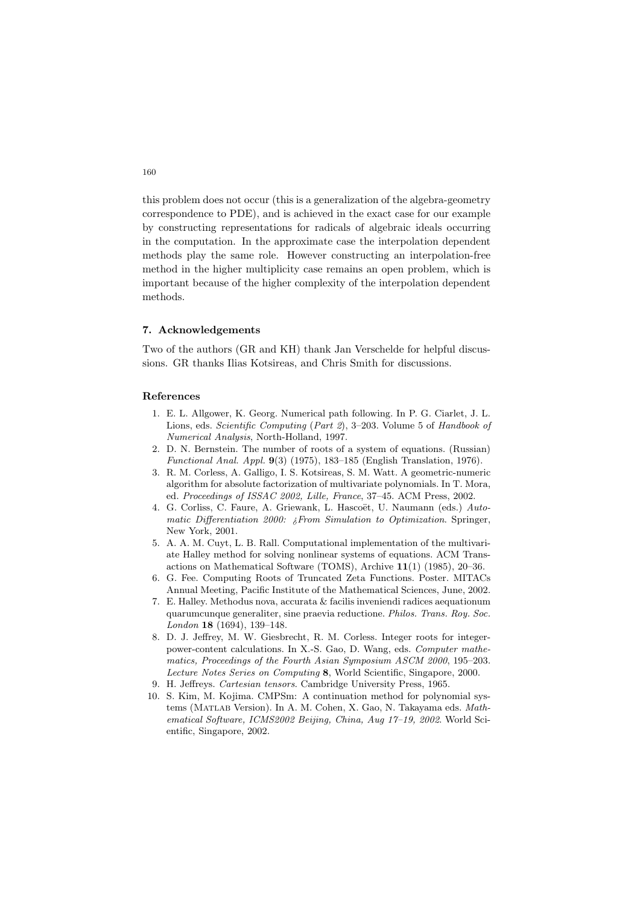this problem does not occur (this is a generalization of the algebra-geometry correspondence to PDE), and is achieved in the exact case for our example by constructing representations for radicals of algebraic ideals occurring in the computation. In the approximate case the interpolation dependent methods play the same role. However constructing an interpolation-free method in the higher multiplicity case remains an open problem, which is important because of the higher complexity of the interpolation dependent methods.

### 7. Acknowledgements

Two of the authors (GR and KH) thank Jan Verschelde for helpful discussions. GR thanks Ilias Kotsireas, and Chris Smith for discussions.

# References

- 1. E. L. Allgower, K. Georg. Numerical path following. In P. G. Ciarlet, J. L. Lions, eds. Scientific Computing (Part 2), 3–203. Volume 5 of Handbook of Numerical Analysis, North-Holland, 1997.
- 2. D. N. Bernstein. The number of roots of a system of equations. (Russian) Functional Anal. Appl. 9(3) (1975), 183–185 (English Translation, 1976).
- 3. R. M. Corless, A. Galligo, I. S. Kotsireas, S. M. Watt. A geometric-numeric algorithm for absolute factorization of multivariate polynomials. In T. Mora, ed. Proceedings of ISSAC 2002, Lille, France, 37–45. ACM Press, 2002.
- 4. G. Corliss, C. Faure, A. Griewank, L. Hascoët, U. Naumann (eds.) Automatic Differentiation 2000:  $i$ From Simulation to Optimization. Springer, New York, 2001.
- 5. A. A. M. Cuyt, L. B. Rall. Computational implementation of the multivariate Halley method for solving nonlinear systems of equations. ACM Transactions on Mathematical Software (TOMS), Archive 11(1) (1985), 20–36.
- 6. G. Fee. Computing Roots of Truncated Zeta Functions. Poster. MITACs Annual Meeting, Pacific Institute of the Mathematical Sciences, June, 2002.
- 7. E. Halley. Methodus nova, accurata & facilis inveniendi radices aequationum quarumcunque generaliter, sine praevia reductione. Philos. Trans. Roy. Soc. London 18 (1694), 139–148.
- 8. D. J. Jeffrey, M. W. Giesbrecht, R. M. Corless. Integer roots for integerpower-content calculations. In X.-S. Gao, D. Wang, eds. Computer mathematics, Proceedings of the Fourth Asian Symposium ASCM 2000, 195–203. Lecture Notes Series on Computing 8, World Scientific, Singapore, 2000.
- 9. H. Jeffreys. Cartesian tensors. Cambridge University Press, 1965.
- 10. S. Kim, M. Kojima. CMPSm: A continuation method for polynomial systems (Matlab Version). In A. M. Cohen, X. Gao, N. Takayama eds. Mathematical Software, ICMS2002 Beijing, China, Aug 17–19, 2002. World Scientific, Singapore, 2002.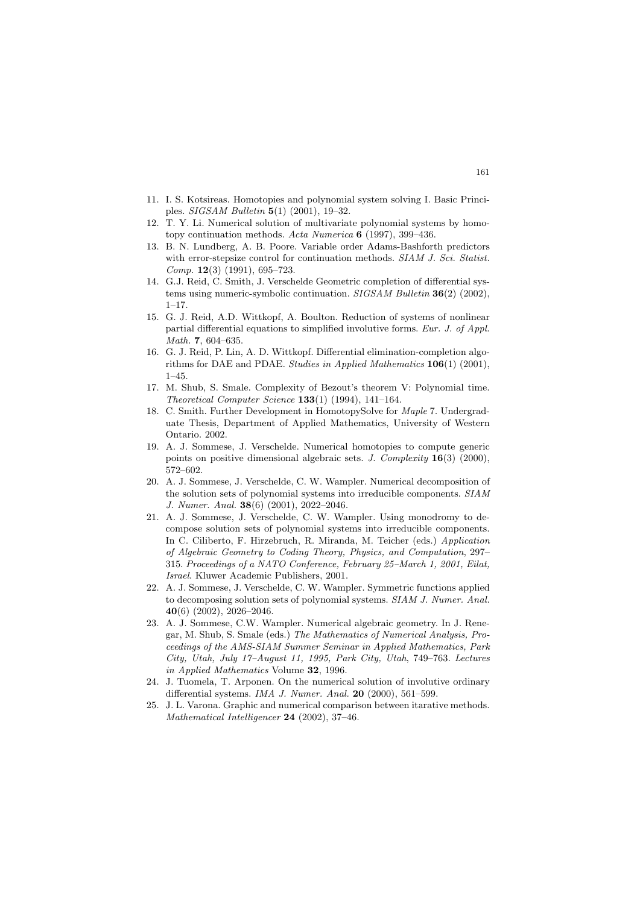- 11. I. S. Kotsireas. Homotopies and polynomial system solving I. Basic Principles. SIGSAM Bulletin 5(1) (2001), 19–32.
- 12. T. Y. Li. Numerical solution of multivariate polynomial systems by homotopy continuation methods. Acta Numerica  $6$  (1997), 399–436.
- 13. B. N. Lundberg, A. B. Poore. Variable order Adams-Bashforth predictors with error-stepsize control for continuation methods. SIAM J. Sci. Statist.  $Comp. 12(3)$  (1991), 695–723.
- 14. G.J. Reid, C. Smith, J. Verschelde Geometric completion of differential systems using numeric-symbolic continuation. SIGSAM Bulletin 36(2) (2002), 1–17.
- 15. G. J. Reid, A.D. Wittkopf, A. Boulton. Reduction of systems of nonlinear partial differential equations to simplified involutive forms. Eur. J. of Appl. Math. 7, 604–635.
- 16. G. J. Reid, P. Lin, A. D. Wittkopf. Differential elimination-completion algorithms for DAE and PDAE. Studies in Applied Mathematics 106(1) (2001),  $1 - 45.$
- 17. M. Shub, S. Smale. Complexity of Bezout's theorem V: Polynomial time. Theoretical Computer Science 133(1) (1994), 141–164.
- 18. C. Smith. Further Development in HomotopySolve for Maple 7. Undergraduate Thesis, Department of Applied Mathematics, University of Western Ontario. 2002.
- 19. A. J. Sommese, J. Verschelde. Numerical homotopies to compute generic points on positive dimensional algebraic sets. *J. Complexity*  $16(3)$  (2000), 572–602.
- 20. A. J. Sommese, J. Verschelde, C. W. Wampler. Numerical decomposition of the solution sets of polynomial systems into irreducible components. SIAM J. Numer. Anal. 38(6) (2001), 2022–2046.
- 21. A. J. Sommese, J. Verschelde, C. W. Wampler. Using monodromy to decompose solution sets of polynomial systems into irreducible components. In C. Ciliberto, F. Hirzebruch, R. Miranda, M. Teicher (eds.) Application of Algebraic Geometry to Coding Theory, Physics, and Computation, 297– 315. Proceedings of a NATO Conference, February 25–March 1, 2001, Eilat, Israel. Kluwer Academic Publishers, 2001.
- 22. A. J. Sommese, J. Verschelde, C. W. Wampler. Symmetric functions applied to decomposing solution sets of polynomial systems. SIAM J. Numer. Anal.  $40(6)$  (2002), 2026–2046.
- 23. A. J. Sommese, C.W. Wampler. Numerical algebraic geometry. In J. Renegar, M. Shub, S. Smale (eds.) The Mathematics of Numerical Analysis, Proceedings of the AMS-SIAM Summer Seminar in Applied Mathematics, Park City, Utah, July 17–August 11, 1995, Park City, Utah, 749–763. Lectures in Applied Mathematics Volume 32, 1996.
- 24. J. Tuomela, T. Arponen. On the numerical solution of involutive ordinary differential systems. IMA J. Numer. Anal. 20 (2000), 561-599.
- 25. J. L. Varona. Graphic and numerical comparison between itarative methods. Mathematical Intelligencer 24 (2002), 37–46.